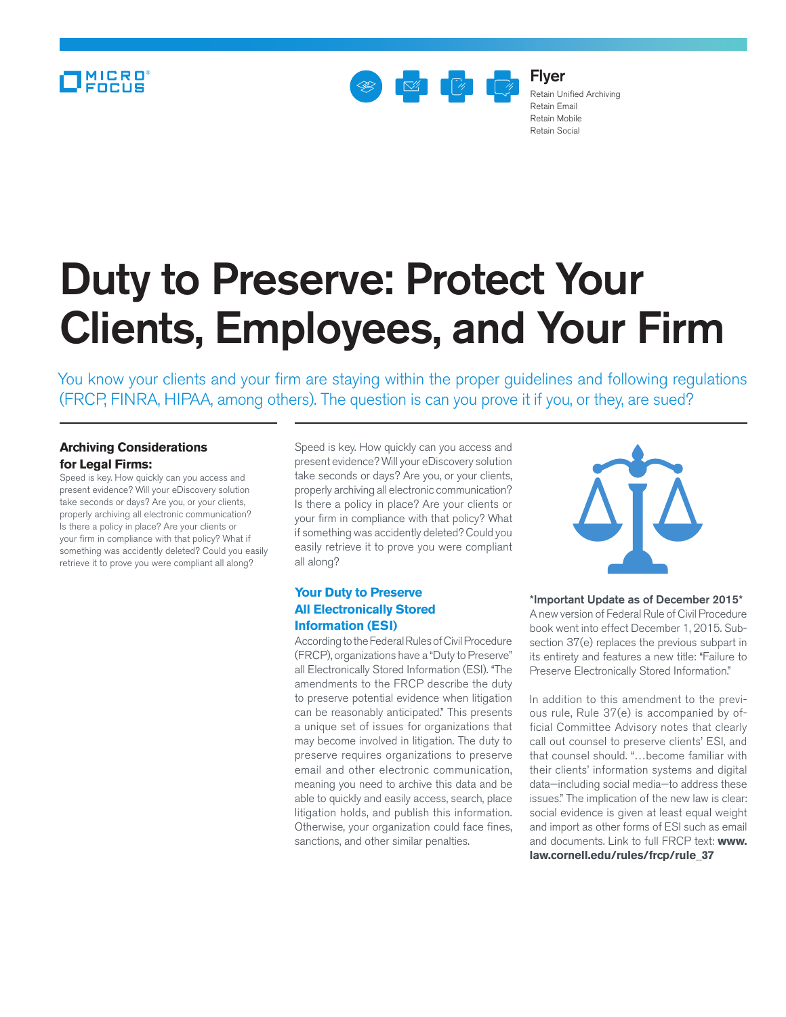## MICRO<sup>®</sup>



Flyer Retain Unified Archiving Retain Email Retain Mobile Retain Social

# Duty to Preserve: Protect Your Clients, Employees, and Your Firm

You know your clients and your firm are staying within the proper guidelines and following regulations (FRCP, FINRA, HIPAA, among others). The question is can you prove it if you, or they, are sued?

### **Archiving Considerations for Legal Firms:**

Speed is key. How quickly can you access and present evidence? Will your eDiscovery solution take seconds or days? Are you, or your clients, properly archiving all electronic communication? Is there a policy in place? Are your clients or your firm in compliance with that policy? What if something was accidently deleted? Could you easily retrieve it to prove you were compliant all along?

Speed is key. How quickly can you access and present evidence? Will your eDiscovery solution take seconds or days? Are you, or your clients, properly archiving all electronic communication? Is there a policy in place? Are your clients or your firm in compliance with that policy? What if something was accidently deleted? Could you easily retrieve it to prove you were compliant all along?

#### **Your Duty to Preserve All Electronically Stored Information (ESI)**

According to the Federal Rules of Civil Procedure (FRCP), organizations have a "Duty to Preserve" all Electronically Stored Information (ESI). "The amendments to the FRCP describe the duty to preserve potential evidence when litigation can be reasonably anticipated." This presents a unique set of issues for organizations that may become involved in litigation. The duty to preserve requires organizations to preserve email and other electronic communication, meaning you need to archive this data and be able to quickly and easily access, search, place litigation holds, and publish this information. Otherwise, your organization could face fines, sanctions, and other similar penalties.



\*Important Update as of December 2015\* A new version of Federal Rule of Civil Procedure book went into effect December 1, 2015. Subsection 37(e) replaces the previous subpart in its entirety and features a new title: "Failure to Preserve Electronically Stored Information."

In addition to this amendment to the previous rule, Rule 37(e) is accompanied by official Committee Advisory notes that clearly call out counsel to preserve clients' ESI, and that counsel should. "…become familiar with their clients' information systems and digital data—including social media—to address these issues." The implication of the new law is clear: social evidence is given at least equal weight and import as other forms of ESI such as email [and documents. Link to full FRCP text:](http://www.law.cornell.edu/rules/frcp/rule_37) **www. law.cornell.edu/rules/frcp/rule\_37**